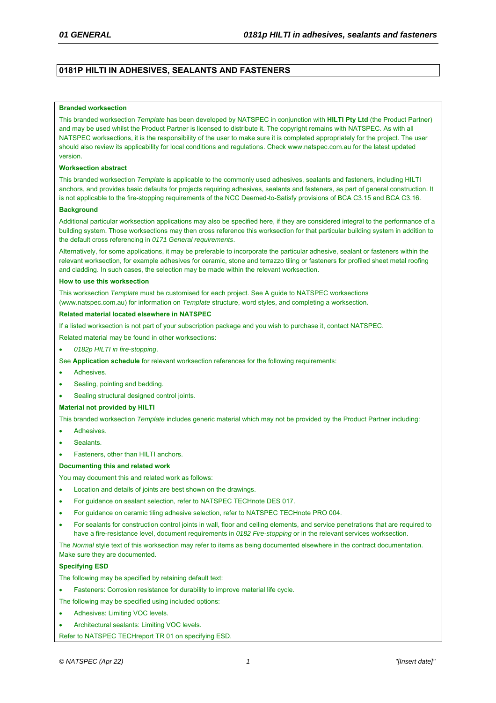# **0181P HILTI IN ADHESIVES, SEALANTS AND FASTENERS**

#### **Branded worksection**

This branded worksection *Template* has been developed by NATSPEC in conjunction with **HILTI Pty Ltd** (the Product Partner) and may be used whilst the Product Partner is licensed to distribute it. The copyright remains with NATSPEC. As with all NATSPEC worksections, it is the responsibility of the user to make sure it is completed appropriately for the project. The user should also review its applicability for local conditions and regulations. Check www.natspec.com.au for the latest updated version.

#### **Worksection abstract**

This branded worksection *Template* is applicable to the commonly used adhesives, sealants and fasteners, including HILTI anchors, and provides basic defaults for projects requiring adhesives, sealants and fasteners, as part of general construction. It is not applicable to the fire-stopping requirements of the NCC Deemed-to-Satisfy provisions of BCA C3.15 and BCA C3.16.

#### **Background**

Additional particular worksection applications may also be specified here, if they are considered integral to the performance of a building system. Those worksections may then cross reference this worksection for that particular building system in addition to the default cross referencing in *0171 General requirements*.

Alternatively, for some applications, it may be preferable to incorporate the particular adhesive, sealant or fasteners within the relevant worksection, for example adhesives for ceramic, stone and terrazzo tiling or fasteners for profiled sheet metal roofing and cladding. In such cases, the selection may be made within the relevant worksection.

#### **How to use this worksection**

This worksection *Template* must be customised for each project. See A guide to NATSPEC worksections (www.natspec.com.au) for information on *Template* structure, word styles, and completing a worksection.

#### **Related material located elsewhere in NATSPEC**

If a listed worksection is not part of your subscription package and you wish to purchase it, contact NATSPEC.

Related material may be found in other worksections:

*0182p HILTI in fire-stopping*.

See **Application schedule** for relevant worksection references for the following requirements:

- Adhesives.
- Sealing, pointing and bedding.
- Sealing structural designed control joints.

#### **Material not provided by HILTI**

This branded worksection *Template* includes generic material which may not be provided by the Product Partner including:

- Adhesives.
- Sealants.
- Fasteners, other than HILTI anchors.

#### **Documenting this and related work**

You may document this and related work as follows:

- Location and details of joints are best shown on the drawings.
- For guidance on sealant selection, refer to NATSPEC TECHnote DES 017.
- For guidance on ceramic tiling adhesive selection, refer to NATSPEC TECHnote PRO 004.
- For sealants for construction control joints in wall, floor and ceiling elements, and service penetrations that are required to have a fire-resistance level, document requirements in *0182 Fire-stopping* or in the relevant services worksection.

The *Normal* style text of this worksection may refer to items as being documented elsewhere in the contract documentation. Make sure they are documented.

#### **Specifying ESD**

The following may be specified by retaining default text:

- Fasteners: Corrosion resistance for durability to improve material life cycle.
- The following may be specified using included options:
- Adhesives: Limiting VOC levels.
- Architectural sealants: Limiting VOC levels.

Refer to NATSPEC TECHreport TR 01 on specifying ESD.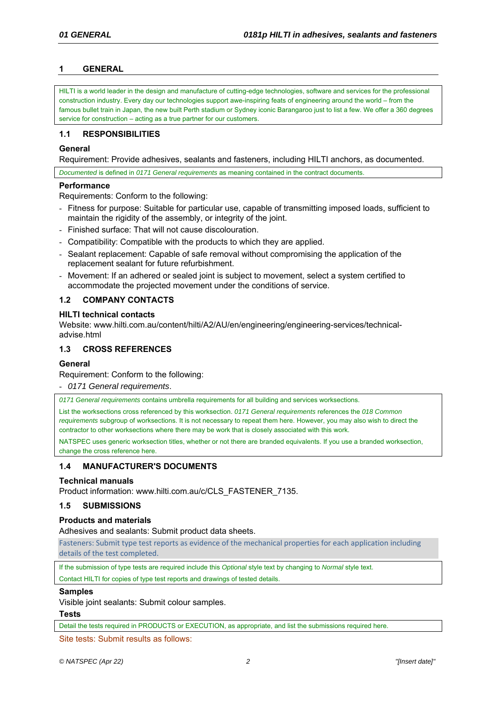# **1 GENERAL**

HILTI is a world leader in the design and manufacture of cutting-edge technologies, software and services for the professional construction industry. Every day our technologies support awe-inspiring feats of engineering around the world – from the famous bullet train in Japan, the new built Perth stadium or Sydney iconic Barangaroo just to list a few. We offer a 360 degrees service for construction – acting as a true partner for our customers.

## **1.1 RESPONSIBILITIES**

## **General**

Requirement: Provide adhesives, sealants and fasteners, including HILTI anchors, as documented.

*Documented* is defined in *0171 General requirements* as meaning contained in the contract documents.

## **Performance**

Requirements: Conform to the following:

- Fitness for purpose: Suitable for particular use, capable of transmitting imposed loads, sufficient to maintain the rigidity of the assembly, or integrity of the joint.
- Finished surface: That will not cause discolouration.
- Compatibility: Compatible with the products to which they are applied.
- Sealant replacement: Capable of safe removal without compromising the application of the replacement sealant for future refurbishment.
- Movement: If an adhered or sealed joint is subject to movement, select a system certified to accommodate the projected movement under the conditions of service.

# **1.2 COMPANY CONTACTS**

## **HILTI technical contacts**

Website: www.hilti.com.au/content/hilti/A2/AU/en/engineering/engineering-services/technicaladvise.html

# **1.3 CROSS REFERENCES**

## **General**

Requirement: Conform to the following:

- *0171 General requirements*.

*0171 General requirements* contains umbrella requirements for all building and services worksections.

List the worksections cross referenced by this worksection. *0171 General requirements* references the *018 Common requirements* subgroup of worksections. It is not necessary to repeat them here. However, you may also wish to direct the contractor to other worksections where there may be work that is closely associated with this work.

NATSPEC uses generic worksection titles, whether or not there are branded equivalents. If you use a branded worksection, change the cross reference here.

# **1.4 MANUFACTURER'S DOCUMENTS**

## **Technical manuals**

Product information: www.hilti.com.au/c/CLS\_FASTENER\_7135.

## **1.5 SUBMISSIONS**

## **Products and materials**

Adhesives and sealants: Submit product data sheets.

Fasteners: Submit type test reports as evidence of the mechanical properties for each application including details of the test completed.

If the submission of type tests are required include this *Optional* style text by changing to *Normal* style text.

Contact HILTI for copies of type test reports and drawings of tested details.

## **Samples**

Visible joint sealants: Submit colour samples.

**Tests** 

Detail the tests required in PRODUCTS or EXECUTION, as appropriate, and list the submissions required here.

Site tests: Submit results as follows: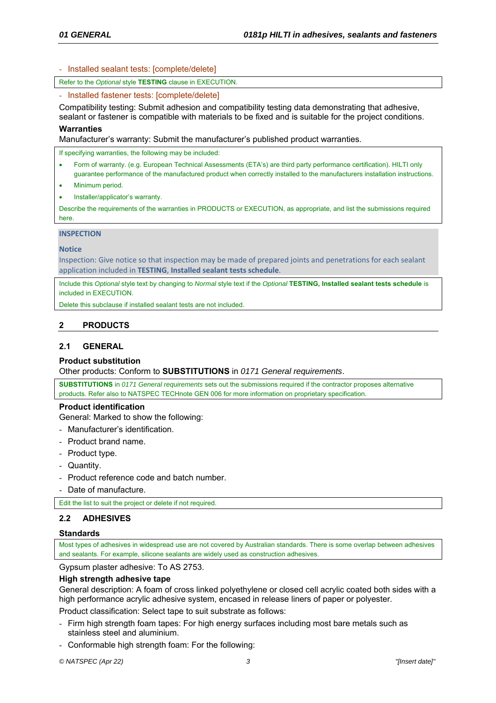- Installed sealant tests: [complete/delete]

Refer to the *Optional* style **TESTING** clause in EXECUTION.

- Installed fastener tests: [complete/delete]

Compatibility testing: Submit adhesion and compatibility testing data demonstrating that adhesive,

sealant or fastener is compatible with materials to be fixed and is suitable for the project conditions. **Warranties** 

Manufacturer's warranty: Submit the manufacturer's published product warranties.

If specifying warranties, the following may be included:

- Form of warranty. (e.g. European Technical Assessments (ETA's) are third party performance certification). HILTI only guarantee performance of the manufactured product when correctly installed to the manufacturers installation instructions.
- Minimum period.
- Installer/applicator's warranty.

Describe the requirements of the warranties in PRODUCTS or EXECUTION, as appropriate, and list the submissions required here.

#### **INSPECTION**

#### **Notice**

Inspection: Give notice so that inspection may be made of prepared joints and penetrations for each sealant application included in **TESTING**, **Installed sealant tests schedule**.

Include this *Optional* style text by changing to *Normal* style text if the *Optional* **TESTING, Installed sealant tests schedule** is included in EXECUTION.

Delete this subclause if installed sealant tests are not included.

## **2 PRODUCTS**

# **2.1 GENERAL**

## **Product substitution**

Other products: Conform to **SUBSTITUTIONS** in *0171 General requirements*.

**SUBSTITUTIONS** in *0171 General requirements* sets out the submissions required if the contractor proposes alternative products. Refer also to NATSPEC TECHnote GEN 006 for more information on proprietary specification.

#### **Product identification**

General: Marked to show the following:

- Manufacturer's identification.
- Product brand name.
- Product type.
- Quantity.
- Product reference code and batch number.
- Date of manufacture.

Edit the list to suit the project or delete if not required.

## **2.2 ADHESIVES**

## **Standards**

Most types of adhesives in widespread use are not covered by Australian standards. There is some overlap between adhesives and sealants. For example, silicone sealants are widely used as construction adhesives.

Gypsum plaster adhesive: To AS 2753.

## **High strength adhesive tape**

General description: A foam of cross linked polyethylene or closed cell acrylic coated both sides with a high performance acrylic adhesive system, encased in release liners of paper or polyester.

Product classification: Select tape to suit substrate as follows:

- Firm high strength foam tapes: For high energy surfaces including most bare metals such as stainless steel and aluminium.
- Conformable high strength foam: For the following: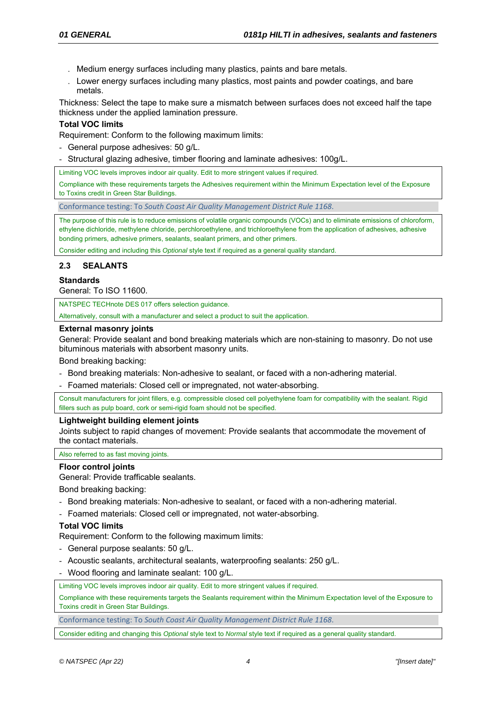- . Medium energy surfaces including many plastics, paints and bare metals.
- . Lower energy surfaces including many plastics, most paints and powder coatings, and bare metals.

Thickness: Select the tape to make sure a mismatch between surfaces does not exceed half the tape thickness under the applied lamination pressure.

## **Total VOC limits**

Requirement: Conform to the following maximum limits:

- General purpose adhesives: 50 g/L.
- Structural glazing adhesive, timber flooring and laminate adhesives: 100g/L.

Limiting VOC levels improves indoor air quality. Edit to more stringent values if required.

Compliance with these requirements targets the Adhesives requirement within the Minimum Expectation level of the Exposure to Toxins credit in Green Star Buildings.

Conformance testing: To *South Coast Air Quality Management District Rule 1168*.

The purpose of this rule is to reduce emissions of volatile organic compounds (VOCs) and to eliminate emissions of chloroform, ethylene dichloride, methylene chloride, perchloroethylene, and trichloroethylene from the application of adhesives, adhesive bonding primers, adhesive primers, sealants, sealant primers, and other primers.

Consider editing and including this *Optional* style text if required as a general quality standard.

## **2.3 SEALANTS**

# **Standards**

General: To ISO 11600.

NATSPEC TECHnote DES 017 offers selection guidance.

Alternatively, consult with a manufacturer and select a product to suit the application.

## **External masonry joints**

General: Provide sealant and bond breaking materials which are non-staining to masonry. Do not use bituminous materials with absorbent masonry units.

Bond breaking backing:

- Bond breaking materials: Non-adhesive to sealant, or faced with a non-adhering material.
- Foamed materials: Closed cell or impregnated, not water-absorbing.

Consult manufacturers for joint fillers, e.g. compressible closed cell polyethylene foam for compatibility with the sealant. Rigid fillers such as pulp board, cork or semi-rigid foam should not be specified.

## **Lightweight building element joints**

Joints subject to rapid changes of movement: Provide sealants that accommodate the movement of the contact materials.

#### Also referred to as fast moving joints.

## **Floor control joints**

General: Provide trafficable sealants.

Bond breaking backing:

- Bond breaking materials: Non-adhesive to sealant, or faced with a non-adhering material.
- Foamed materials: Closed cell or impregnated, not water-absorbing.

## **Total VOC limits**

Requirement: Conform to the following maximum limits:

- General purpose sealants: 50 g/L.
- Acoustic sealants, architectural sealants, waterproofing sealants: 250 g/L.
- Wood flooring and laminate sealant: 100 g/L.

Limiting VOC levels improves indoor air quality. Edit to more stringent values if required.

Compliance with these requirements targets the Sealants requirement within the Minimum Expectation level of the Exposure to Toxins credit in Green Star Buildings.

Conformance testing: To *South Coast Air Quality Management District Rule 1168*.

Consider editing and changing this *Optional* style text to *Normal* style text if required as a general quality standard.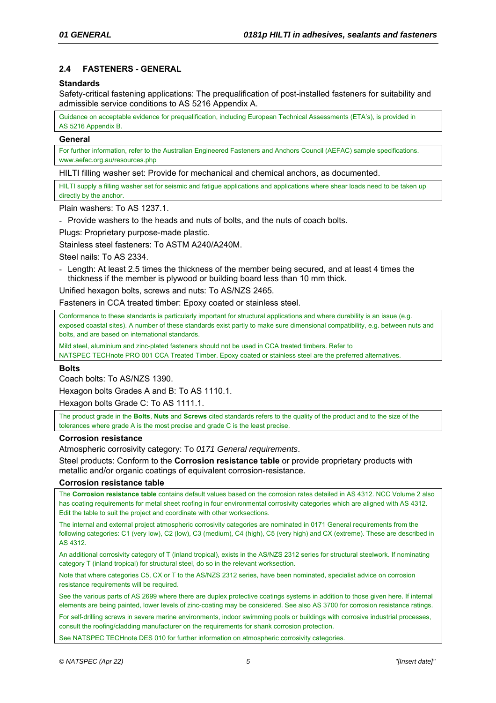# **2.4 FASTENERS - GENERAL**

## **Standards**

Safety-critical fastening applications: The prequalification of post-installed fasteners for suitability and admissible service conditions to AS 5216 Appendix A.

Guidance on acceptable evidence for prequalification, including European Technical Assessments (ETA's), is provided in AS 5216 Appendix B.

## **General**

For further information, refer to the Australian Engineered Fasteners and Anchors Council (AEFAC) sample specifications. www.aefac.org.au/resources.php

HILTI filling washer set: Provide for mechanical and chemical anchors, as documented.

HILTI supply a filling washer set for seismic and fatigue applications and applications where shear loads need to be taken up directly by the anchor.

Plain washers: To AS 1237.1.

- Provide washers to the heads and nuts of bolts, and the nuts of coach bolts.

Plugs: Proprietary purpose-made plastic.

Stainless steel fasteners: To ASTM A240/A240M.

Steel nails: To AS 2334.

- Length: At least 2.5 times the thickness of the member being secured, and at least 4 times the thickness if the member is plywood or building board less than 10 mm thick.

Unified hexagon bolts, screws and nuts: To AS/NZS 2465.

Fasteners in CCA treated timber: Epoxy coated or stainless steel.

Conformance to these standards is particularly important for structural applications and where durability is an issue (e.g. exposed coastal sites). A number of these standards exist partly to make sure dimensional compatibility, e.g. between nuts and bolts, and are based on international standards.

Mild steel, aluminium and zinc-plated fasteners should not be used in CCA treated timbers. Refer to

NATSPEC TECHnote PRO 001 CCA Treated Timber. Epoxy coated or stainless steel are the preferred alternatives.

## **Bolts**

Coach bolts: To AS/NZS 1390.

Hexagon bolts Grades A and B: To AS 1110.1.

Hexagon bolts Grade C: To AS 1111.1.

The product grade in the **Bolts**, **Nuts** and **Screws** cited standards refers to the quality of the product and to the size of the tolerances where grade A is the most precise and grade C is the least precise.

## **Corrosion resistance**

Atmospheric corrosivity category: To *0171 General requirements*.

Steel products: Conform to the **Corrosion resistance table** or provide proprietary products with metallic and/or organic coatings of equivalent corrosion-resistance.

## **Corrosion resistance table**

The **Corrosion resistance table** contains default values based on the corrosion rates detailed in AS 4312. NCC Volume 2 also has coating requirements for metal sheet roofing in four environmental corrosivity categories which are aligned with AS 4312. Edit the table to suit the project and coordinate with other worksections.

The internal and external project atmospheric corrosivity categories are nominated in 0171 General requirements from the following categories: C1 (very low), C2 (low), C3 (medium), C4 (high), C5 (very high) and CX (extreme). These are described in AS 4312.

An additional corrosivity category of T (inland tropical), exists in the AS/NZS 2312 series for structural steelwork. If nominating category T (inland tropical) for structural steel, do so in the relevant worksection.

Note that where categories C5, CX or T to the AS/NZS 2312 series, have been nominated, specialist advice on corrosion resistance requirements will be required.

See the various parts of AS 2699 where there are duplex protective coatings systems in addition to those given here. If internal elements are being painted, lower levels of zinc-coating may be considered. See also AS 3700 for corrosion resistance ratings.

For self-drilling screws in severe marine environments, indoor swimming pools or buildings with corrosive industrial processes, consult the roofing/cladding manufacturer on the requirements for shank corrosion protection.

See NATSPEC TECHnote DES 010 for further information on atmospheric corrosivity categories.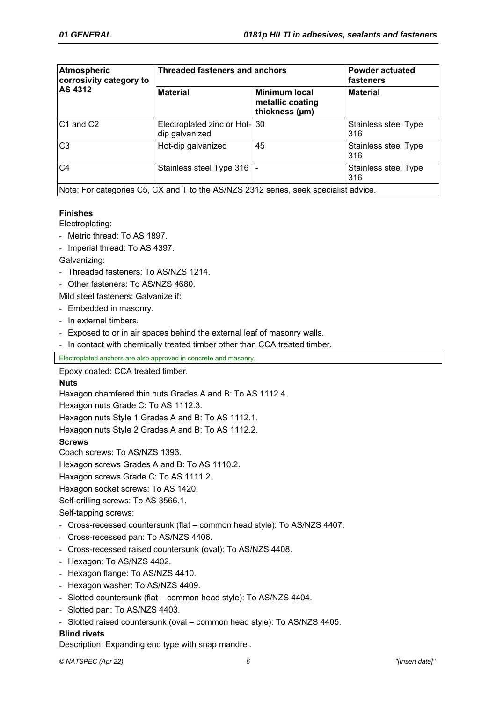| Atmospheric<br>corrosivity category to<br><b>AS 4312</b> | <b>Threaded fasteners and anchors</b>                                                | <b>Powder actuated</b><br>fasteners                        |                             |
|----------------------------------------------------------|--------------------------------------------------------------------------------------|------------------------------------------------------------|-----------------------------|
|                                                          | <b>Material</b>                                                                      | <b>Minimum local</b><br>metallic coating<br>thickness (µm) | <b>Material</b>             |
| C <sub>1</sub> and C <sub>2</sub>                        | Electroplated zinc or Hot-130<br>dip galvanized                                      |                                                            | Stainless steel Type<br>316 |
| C <sub>3</sub>                                           | Hot-dip galvanized                                                                   | 45                                                         | Stainless steel Type<br>316 |
| C <sub>4</sub>                                           | Stainless steel Type 316                                                             |                                                            | Stainless steel Type<br>316 |
|                                                          | Note: For categories C5, CX and T to the AS/NZS 2312 series, seek specialist advice. |                                                            |                             |

# **Finishes**

Electroplating:

- Metric thread: To AS 1897.
- Imperial thread: To AS 4397.

# Galvanizing:

- Threaded fasteners: To AS/NZS 1214.
- Other fasteners: To AS/NZS 4680.

Mild steel fasteners: Galvanize if:

- Embedded in masonry.
- In external timbers.
- Exposed to or in air spaces behind the external leaf of masonry walls.
- In contact with chemically treated timber other than CCA treated timber.

Electroplated anchors are also approved in concrete and masonry.

Epoxy coated: CCA treated timber.

# **Nuts**

Hexagon chamfered thin nuts Grades A and B: To AS 1112.4.

Hexagon nuts Grade C: To AS 1112.3.

Hexagon nuts Style 1 Grades A and B: To AS 1112.1.

Hexagon nuts Style 2 Grades A and B: To AS 1112.2.

**Screws** 

Coach screws: To AS/NZS 1393.

Hexagon screws Grades A and B: To AS 1110.2.

Hexagon screws Grade C: To AS 1111.2.

Hexagon socket screws: To AS 1420.

Self-drilling screws: To AS 3566.1.

Self-tapping screws:

- Cross-recessed countersunk (flat common head style): To AS/NZS 4407.
- Cross-recessed pan: To AS/NZS 4406.
- Cross-recessed raised countersunk (oval): To AS/NZS 4408.
- Hexagon: To AS/NZS 4402.
- Hexagon flange: To AS/NZS 4410.
- Hexagon washer: To AS/NZS 4409.
- Slotted countersunk (flat common head style): To AS/NZS 4404.
- Slotted pan: To AS/NZS 4403.
- Slotted raised countersunk (oval common head style): To AS/NZS 4405.

# **Blind rivets**

Description: Expanding end type with snap mandrel.

*© NATSPEC (Apr 22) 6 "[Insert date]"*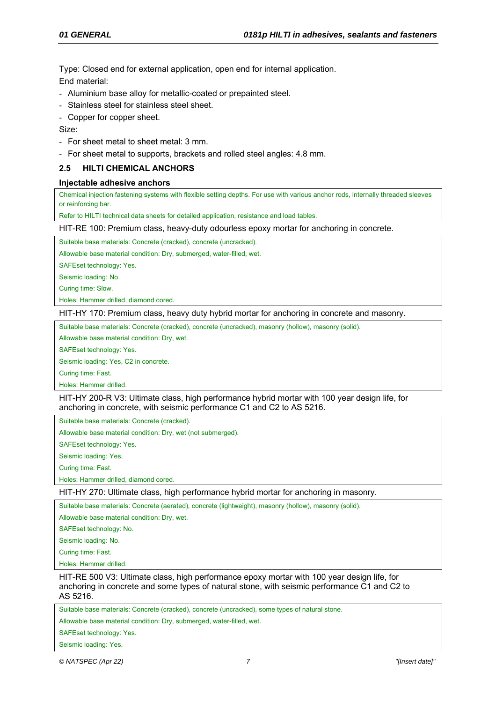Type: Closed end for external application, open end for internal application. End material:

- Aluminium base alloy for metallic-coated or prepainted steel.
- Stainless steel for stainless steel sheet.
- Copper for copper sheet.

Size:

- For sheet metal to sheet metal: 3 mm.
- For sheet metal to supports, brackets and rolled steel angles: 4.8 mm.

# **2.5 HILTI CHEMICAL ANCHORS**

#### **Injectable adhesive anchors**

Chemical injection fastening systems with flexible setting depths. For use with various anchor rods, internally threaded sleeves or reinforcing bar.

Refer to HILTI technical data sheets for detailed application, resistance and load tables.

HIT-RE 100: Premium class, heavy-duty odourless epoxy mortar for anchoring in concrete.

Suitable base materials: Concrete (cracked), concrete (uncracked).

Allowable base material condition: Dry, submerged, water-filled, wet.

SAFEset technology: Yes.

Seismic loading: No.

Curing time: Slow.

Holes: Hammer drilled, diamond cored.

HIT-HY 170: Premium class, heavy duty hybrid mortar for anchoring in concrete and masonry.

Suitable base materials: Concrete (cracked), concrete (uncracked), masonry (hollow), masonry (solid).

Allowable base material condition: Dry, wet.

SAFEset technology: Yes.

Seismic loading: Yes, C2 in concrete.

Curing time: Fast.

Holes: Hammer drilled.

HIT-HY 200-R V3: Ultimate class, high performance hybrid mortar with 100 year design life, for anchoring in concrete, with seismic performance C1 and C2 to AS 5216.

Suitable base materials: Concrete (cracked).

Allowable base material condition: Dry, wet (not submerged).

SAFEset technology: Yes.

Seismic loading: Yes,

Curing time: Fast.

Holes: Hammer drilled, diamond cored.

HIT-HY 270: Ultimate class, high performance hybrid mortar for anchoring in masonry.

Suitable base materials: Concrete (aerated), concrete (lightweight), masonry (hollow), masonry (solid).

Allowable base material condition: Dry, wet.

SAFEset technology: No.

Seismic loading: No.

Curing time: Fast.

Holes: Hammer drilled.

HIT-RE 500 V3: Ultimate class, high performance epoxy mortar with 100 year design life, for anchoring in concrete and some types of natural stone, with seismic performance C1 and C2 to AS 5216.

Suitable base materials: Concrete (cracked), concrete (uncracked), some types of natural stone.

Allowable base material condition: Dry, submerged, water-filled, wet.

SAFEset technology: Yes.

Seismic loading: Yes.

*© NATSPEC (Apr 22) 7 "[Insert date]"*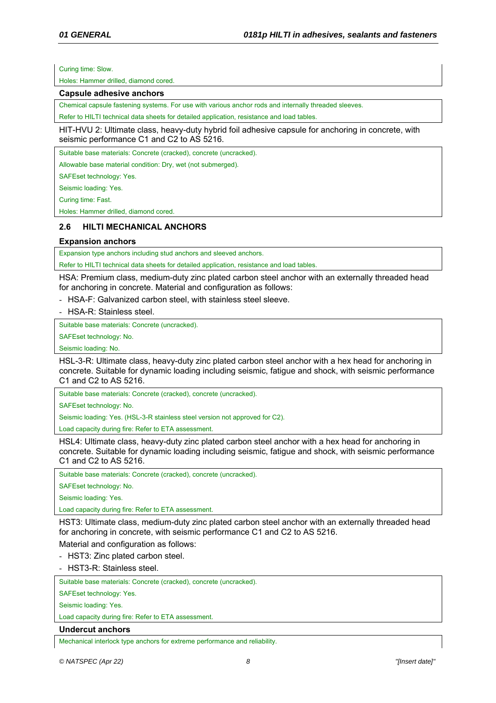Curing time: Slow.

Holes: Hammer drilled, diamond cored.

#### **Capsule adhesive anchors**

Chemical capsule fastening systems. For use with various anchor rods and internally threaded sleeves.

Refer to HILTI technical data sheets for detailed application, resistance and load tables.

HIT-HVU 2: Ultimate class, heavy-duty hybrid foil adhesive capsule for anchoring in concrete, with seismic performance C1 and C2 to AS 5216.

Suitable base materials: Concrete (cracked), concrete (uncracked).

Allowable base material condition: Dry, wet (not submerged).

SAFEset technology: Yes.

Seismic loading: Yes.

Curing time: Fast.

Holes: Hammer drilled, diamond cored.

# **2.6 HILTI MECHANICAL ANCHORS**

## **Expansion anchors**

Expansion type anchors including stud anchors and sleeved anchors.

Refer to HILTI technical data sheets for detailed application, resistance and load tables.

HSA: Premium class, medium-duty zinc plated carbon steel anchor with an externally threaded head for anchoring in concrete. Material and configuration as follows:

- HSA-F: Galvanized carbon steel, with stainless steel sleeve.

- HSA-R: Stainless steel.

Suitable base materials: Concrete (uncracked).

SAFEset technology: No.

Seismic loading: No.

HSL-3-R: Ultimate class, heavy-duty zinc plated carbon steel anchor with a hex head for anchoring in concrete. Suitable for dynamic loading including seismic, fatigue and shock, with seismic performance C1 and C2 to AS 5216.

Suitable base materials: Concrete (cracked), concrete (uncracked).

SAFEset technology: No.

Seismic loading: Yes. (HSL-3-R stainless steel version not approved for C2).

Load capacity during fire: Refer to ETA assessment.

HSL4: Ultimate class, heavy-duty zinc plated carbon steel anchor with a hex head for anchoring in concrete. Suitable for dynamic loading including seismic, fatigue and shock, with seismic performance C1 and C2 to AS 5216.

Suitable base materials: Concrete (cracked), concrete (uncracked).

SAFEset technology: No.

Seismic loading: Yes.

Load capacity during fire: Refer to ETA assessment.

HST3: Ultimate class, medium-duty zinc plated carbon steel anchor with an externally threaded head for anchoring in concrete, with seismic performance C1 and C2 to AS 5216.

Material and configuration as follows:

- HST3: Zinc plated carbon steel.

- HST3-R: Stainless steel.

Suitable base materials: Concrete (cracked), concrete (uncracked).

SAFEset technology: Yes.

Seismic loading: Yes.

Load capacity during fire: Refer to ETA assessment.

#### **Undercut anchors**

Mechanical interlock type anchors for extreme performance and reliability.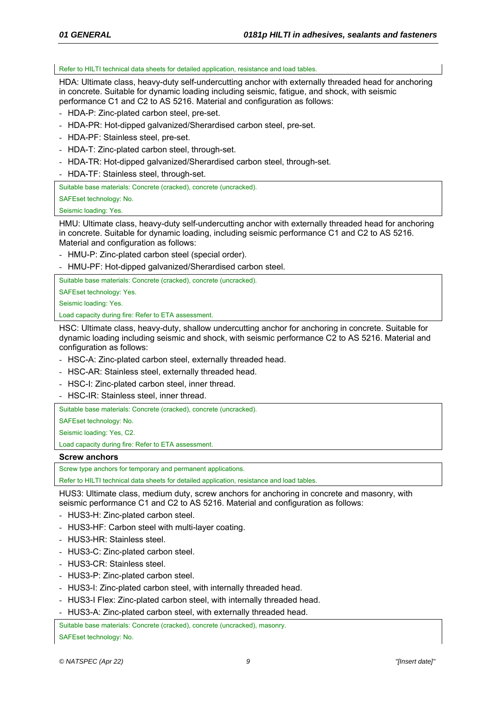Refer to HILTI technical data sheets for detailed application, resistance and load tables.

HDA: Ultimate class, heavy-duty self-undercutting anchor with externally threaded head for anchoring in concrete. Suitable for dynamic loading including seismic, fatigue, and shock, with seismic performance C1 and C2 to AS 5216. Material and configuration as follows:

- HDA-P: Zinc-plated carbon steel, pre-set.
- HDA-PR: Hot-dipped galvanized/Sherardised carbon steel, pre-set.
- HDA-PF: Stainless steel, pre-set.
- HDA-T: Zinc-plated carbon steel, through-set.
- HDA-TR: Hot-dipped galvanized/Sherardised carbon steel, through-set.
- HDA-TF: Stainless steel, through-set.

Suitable base materials: Concrete (cracked), concrete (uncracked).

SAFEset technology: No.

Seismic loading: Yes.

HMU: Ultimate class, heavy-duty self-undercutting anchor with externally threaded head for anchoring in concrete. Suitable for dynamic loading, including seismic performance C1 and C2 to AS 5216. Material and configuration as follows:

- HMU-P: Zinc-plated carbon steel (special order).
- HMU-PF: Hot-dipped galvanized/Sherardised carbon steel.

Suitable base materials: Concrete (cracked), concrete (uncracked).

SAFEset technology: Yes.

Seismic loading: Yes.

Load capacity during fire: Refer to ETA assessment.

HSC: Ultimate class, heavy-duty, shallow undercutting anchor for anchoring in concrete. Suitable for dynamic loading including seismic and shock, with seismic performance C2 to AS 5216. Material and configuration as follows:

- HSC-A: Zinc-plated carbon steel, externally threaded head.
- HSC-AR: Stainless steel, externally threaded head.
- HSC-I: Zinc-plated carbon steel, inner thread.
- HSC-IR: Stainless steel, inner thread.

Suitable base materials: Concrete (cracked), concrete (uncracked).

SAFEset technology: No.

Seismic loading: Yes, C2.

Load capacity during fire: Refer to ETA assessment.

#### **Screw anchors**

Screw type anchors for temporary and permanent applications.

Refer to HILTI technical data sheets for detailed application, resistance and load tables.

HUS3: Ultimate class, medium duty, screw anchors for anchoring in concrete and masonry, with seismic performance C1 and C2 to AS 5216. Material and configuration as follows:

- HUS3-H: Zinc-plated carbon steel.
- HUS3-HF: Carbon steel with multi-layer coating.
- HUS3-HR: Stainless steel.
- HUS3-C: Zinc-plated carbon steel.
- HUS3-CR: Stainless steel.
- HUS3-P: Zinc-plated carbon steel.
- HUS3-I: Zinc-plated carbon steel, with internally threaded head.
- HUS3-I Flex: Zinc-plated carbon steel, with internally threaded head.
- HUS3-A: Zinc-plated carbon steel, with externally threaded head.

Suitable base materials: Concrete (cracked), concrete (uncracked), masonry.

SAFEset technology: No.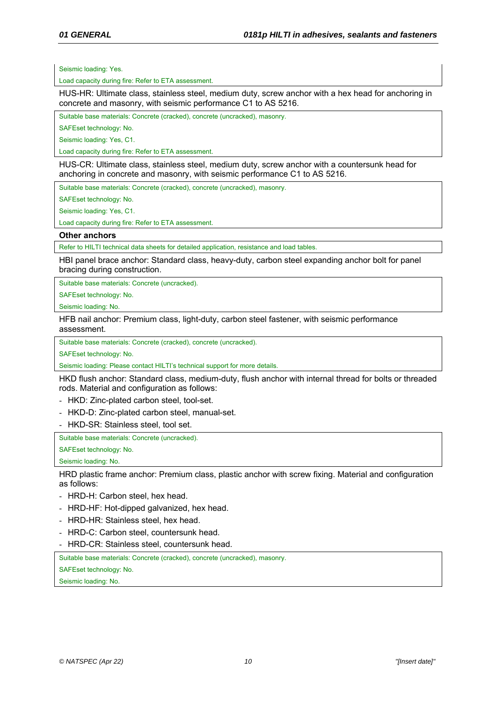Seismic loading: Yes.

Load capacity during fire: Refer to ETA assessment.

HUS-HR: Ultimate class, stainless steel, medium duty, screw anchor with a hex head for anchoring in concrete and masonry, with seismic performance C1 to AS 5216.

Suitable base materials: Concrete (cracked), concrete (uncracked), masonry.

SAFEset technology: No.

Seismic loading: Yes, C1.

Load capacity during fire: Refer to ETA assessment.

HUS-CR: Ultimate class, stainless steel, medium duty, screw anchor with a countersunk head for anchoring in concrete and masonry, with seismic performance C1 to AS 5216.

Suitable base materials: Concrete (cracked), concrete (uncracked), masonry.

SAFEset technology: No.

Seismic loading: Yes, C1.

Load capacity during fire: Refer to ETA assessment.

## **Other anchors**

Refer to HILTI technical data sheets for detailed application, resistance and load tables.

HBI panel brace anchor: Standard class, heavy-duty, carbon steel expanding anchor bolt for panel bracing during construction.

Suitable base materials: Concrete (uncracked).

SAFEset technology: No.

Seismic loading: No.

HFB nail anchor: Premium class, light-duty, carbon steel fastener, with seismic performance assessment.

Suitable base materials: Concrete (cracked), concrete (uncracked).

SAFEset technology: No.

Seismic loading: Please contact HILTI's technical support for more details.

HKD flush anchor: Standard class, medium-duty, flush anchor with internal thread for bolts or threaded rods. Material and configuration as follows:

- HKD: Zinc-plated carbon steel, tool-set.
- HKD-D: Zinc-plated carbon steel, manual-set.
- HKD-SR: Stainless steel, tool set.

Suitable base materials: Concrete (uncracked).

SAFEset technology: No.

Seismic loading: No.

HRD plastic frame anchor: Premium class, plastic anchor with screw fixing. Material and configuration as follows:

- HRD-H: Carbon steel, hex head.
- HRD-HF: Hot-dipped galvanized, hex head.
- HRD-HR: Stainless steel, hex head.
- HRD-C: Carbon steel, countersunk head.
- HRD-CR: Stainless steel, countersunk head.

Suitable base materials: Concrete (cracked), concrete (uncracked), masonry.

SAFEset technology: No.

Seismic loading: No.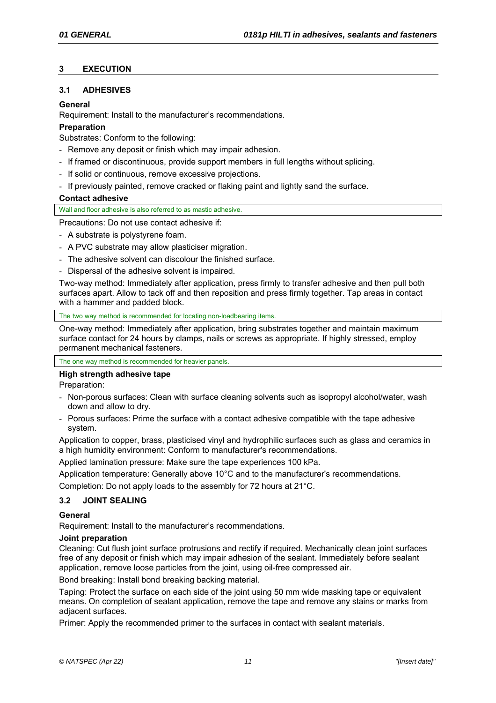# **3 EXECUTION**

# **3.1 ADHESIVES**

# **General**

Requirement: Install to the manufacturer's recommendations.

# **Preparation**

Substrates: Conform to the following:

- Remove any deposit or finish which may impair adhesion.
- If framed or discontinuous, provide support members in full lengths without splicing.
- If solid or continuous, remove excessive projections.
- If previously painted, remove cracked or flaking paint and lightly sand the surface.

# **Contact adhesive**

Wall and floor adhesive is also referred to as mastic adhesive.

Precautions: Do not use contact adhesive if:

- A substrate is polystyrene foam.
- A PVC substrate may allow plasticiser migration.
- The adhesive solvent can discolour the finished surface.
- Dispersal of the adhesive solvent is impaired.

Two-way method: Immediately after application, press firmly to transfer adhesive and then pull both surfaces apart. Allow to tack off and then reposition and press firmly together. Tap areas in contact with a hammer and padded block.

The two way method is recommended for locating non-loadbearing items.

One-way method: Immediately after application, bring substrates together and maintain maximum surface contact for 24 hours by clamps, nails or screws as appropriate. If highly stressed, employ permanent mechanical fasteners.

The one way method is recommended for heavier panels.

# **High strength adhesive tape**

Preparation:

- Non-porous surfaces: Clean with surface cleaning solvents such as isopropyl alcohol/water, wash down and allow to dry.
- Porous surfaces: Prime the surface with a contact adhesive compatible with the tape adhesive system.

Application to copper, brass, plasticised vinyl and hydrophilic surfaces such as glass and ceramics in a high humidity environment: Conform to manufacturer's recommendations.

Applied lamination pressure: Make sure the tape experiences 100 kPa.

Application temperature: Generally above 10°C and to the manufacturer's recommendations.

Completion: Do not apply loads to the assembly for 72 hours at 21°C.

# **3.2 JOINT SEALING**

# **General**

Requirement: Install to the manufacturer's recommendations.

# **Joint preparation**

Cleaning: Cut flush joint surface protrusions and rectify if required. Mechanically clean joint surfaces free of any deposit or finish which may impair adhesion of the sealant. Immediately before sealant application, remove loose particles from the joint, using oil-free compressed air.

Bond breaking: Install bond breaking backing material.

Taping: Protect the surface on each side of the joint using 50 mm wide masking tape or equivalent means. On completion of sealant application, remove the tape and remove any stains or marks from adiacent surfaces.

Primer: Apply the recommended primer to the surfaces in contact with sealant materials.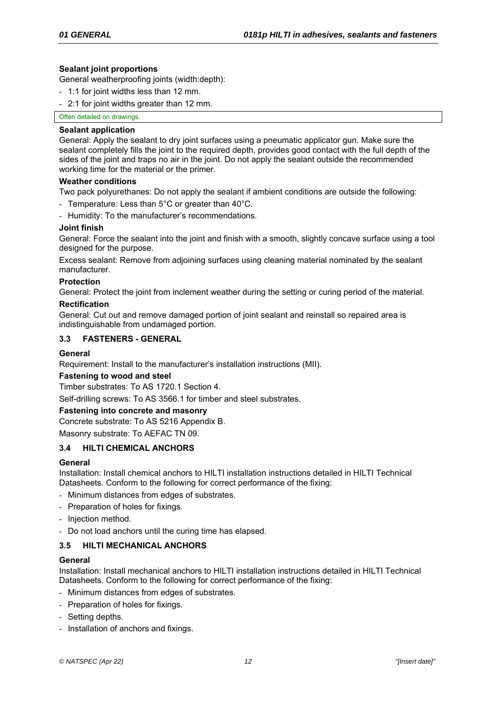# **Sealant joint proportions**

General weatherproofing joints (width:depth):

- 1:1 for joint widths less than 12 mm.
- 2:1 for joint widths greater than 12 mm.

## Often detailed on drawings.

## **Sealant application**

General: Apply the sealant to dry joint surfaces using a pneumatic applicator gun. Make sure the sealant completely fills the joint to the required depth, provides good contact with the full depth of the sides of the joint and traps no air in the joint. Do not apply the sealant outside the recommended working time for the material or the primer.

## **Weather conditions**

Two pack polyurethanes: Do not apply the sealant if ambient conditions are outside the following:

- Temperature: Less than 5°C or greater than 40°C.
- Humidity: To the manufacturer's recommendations.

## **Joint finish**

General: Force the sealant into the joint and finish with a smooth, slightly concave surface using a tool designed for the purpose.

Excess sealant: Remove from adjoining surfaces using cleaning material nominated by the sealant manufacturer.

## **Protection**

General: Protect the joint from inclement weather during the setting or curing period of the material.

## **Rectification**

General: Cut out and remove damaged portion of joint sealant and reinstall so repaired area is indistinguishable from undamaged portion.

# **3.3 FASTENERS - GENERAL**

# **General**

Requirement: Install to the manufacturer's installation instructions (MII).

## **Fastening to wood and steel**

Timber substrates: To AS 1720.1 Section 4.

Self-drilling screws: To AS 3566.1 for timber and steel substrates.

# **Fastening into concrete and masonry**

Concrete substrate: To AS 5216 Appendix B.

Masonry substrate: To AEFAC TN 09.

# **3.4 HILTI CHEMICAL ANCHORS**

## **General**

Installation: Install chemical anchors to HILTI installation instructions detailed in HILTI Technical Datasheets. Conform to the following for correct performance of the fixing:

- Minimum distances from edges of substrates.
- Preparation of holes for fixings.
- Injection method.
- Do not load anchors until the curing time has elapsed.

# **3.5 HILTI MECHANICAL ANCHORS**

## **General**

Installation: Install mechanical anchors to HILTI installation instructions detailed in HILTI Technical Datasheets. Conform to the following for correct performance of the fixing:

- Minimum distances from edges of substrates.
- Preparation of holes for fixings.
- Setting depths.
- Installation of anchors and fixings.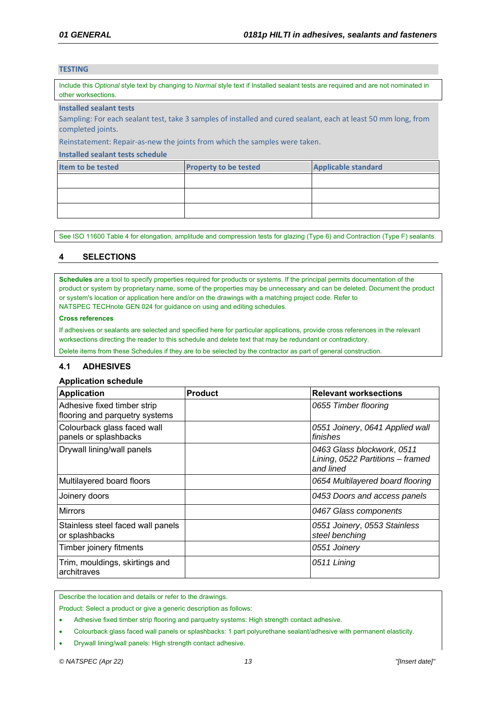## **TESTING**

Include this *Optional* style text by changing to *Normal* style text if Installed sealant tests are required and are not nominated in other worksections.

#### **Installed sealant tests**

Sampling: For each sealant test, take 3 samples of installed and cured sealant, each at least 50 mm long, from completed joints.

Reinstatement: Repair‐as‐new the joints from which the samples were taken.

#### **Installed sealant tests schedule**

| Item to be tested | <b>Property to be tested</b> | <b>Applicable standard</b> |
|-------------------|------------------------------|----------------------------|
|                   |                              |                            |
|                   |                              |                            |
|                   |                              |                            |

See ISO 11600 Table 4 for elongation, amplitude and compression tests for glazing (Type 6) and Contraction (Type F) sealants.

# **4 SELECTIONS**

**Schedules** are a tool to specify properties required for products or systems. If the principal permits documentation of the product or system by proprietary name, some of the properties may be unnecessary and can be deleted. Document the product or system's location or application here and/or on the drawings with a matching project code. Refer to NATSPEC TECHnote GEN 024 for guidance on using and editing schedules.

#### **Cross references**

If adhesives or sealants are selected and specified here for particular applications, provide cross references in the relevant worksections directing the reader to this schedule and delete text that may be redundant or contradictory.

Delete items from these Schedules if they are to be selected by the contractor as part of general construction.

## **4.1 ADHESIVES**

#### **Application schedule**

| <b>Application</b>                                            | <b>Product</b> | <b>Relevant worksections</b>                                                |
|---------------------------------------------------------------|----------------|-----------------------------------------------------------------------------|
| Adhesive fixed timber strip<br>flooring and parquetry systems |                | 0655 Timber flooring                                                        |
| Colourback glass faced wall<br>panels or splashbacks          |                | 0551 Joinery, 0641 Applied wall<br>finishes                                 |
| Drywall lining/wall panels                                    |                | 0463 Glass blockwork, 0511<br>Lining, 0522 Partitions - framed<br>and lined |
| Multilayered board floors                                     |                | 0654 Multilayered board flooring                                            |
| Joinery doors                                                 |                | 0453 Doors and access panels                                                |
| <b>Mirrors</b>                                                |                | 0467 Glass components                                                       |
| Stainless steel faced wall panels<br>or splashbacks           |                | 0551 Joinery, 0553 Stainless<br>steel benching                              |
| Timber joinery fitments                                       |                | 0551 Joinery                                                                |
| Trim, mouldings, skirtings and<br>architraves                 |                | 0511 Lining                                                                 |

Describe the location and details or refer to the drawings.

Product: Select a product or give a generic description as follows:

Adhesive fixed timber strip flooring and parquetry systems: High strength contact adhesive.

- Colourback glass faced wall panels or splashbacks: 1 part polyurethane sealant/adhesive with permanent elasticity.
- Drywall lining/wall panels: High strength contact adhesive.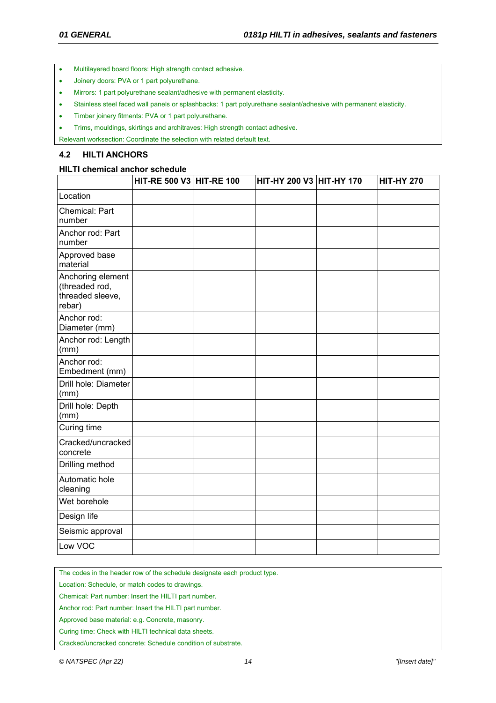- Multilayered board floors: High strength contact adhesive.
- Joinery doors: PVA or 1 part polyurethane.
- Mirrors: 1 part polyurethane sealant/adhesive with permanent elasticity.
- Stainless steel faced wall panels or splashbacks: 1 part polyurethane sealant/adhesive with permanent elasticity.
- Timber joinery fitments: PVA or 1 part polyurethane.
- Trims, mouldings, skirtings and architraves: High strength contact adhesive.

Relevant worksection: Coordinate the selection with related default text.

#### **4.2 HILTI ANCHORS**

#### **HILTI chemical anchor schedule**

|                                                                   | HIT-RE 500 V3 HIT-RE 100 | HIT-HY 200 V3 HIT-HY 170 | <b>HIT-HY 270</b> |
|-------------------------------------------------------------------|--------------------------|--------------------------|-------------------|
| Location                                                          |                          |                          |                   |
| Chemical: Part<br>number                                          |                          |                          |                   |
| Anchor rod: Part<br>number                                        |                          |                          |                   |
| Approved base<br>material                                         |                          |                          |                   |
| Anchoring element<br>(threaded rod,<br>threaded sleeve,<br>rebar) |                          |                          |                   |
| Anchor rod:<br>Diameter (mm)                                      |                          |                          |                   |
| Anchor rod: Length<br>(mm)                                        |                          |                          |                   |
| Anchor rod:<br>Embedment (mm)                                     |                          |                          |                   |
| Drill hole: Diameter<br>(mm)                                      |                          |                          |                   |
| Drill hole: Depth<br>(mm)                                         |                          |                          |                   |
| Curing time                                                       |                          |                          |                   |
| Cracked/uncracked<br>concrete                                     |                          |                          |                   |
| Drilling method                                                   |                          |                          |                   |
| Automatic hole<br>cleaning                                        |                          |                          |                   |
| Wet borehole                                                      |                          |                          |                   |
| Design life                                                       |                          |                          |                   |
| Seismic approval                                                  |                          |                          |                   |
| Low VOC                                                           |                          |                          |                   |

The codes in the header row of the schedule designate each product type.

Location: Schedule, or match codes to drawings.

Chemical: Part number: Insert the HILTI part number.

Anchor rod: Part number: Insert the HILTI part number.

Approved base material: e.g. Concrete, masonry.

Curing time: Check with HILTI technical data sheets.

Cracked/uncracked concrete: Schedule condition of substrate.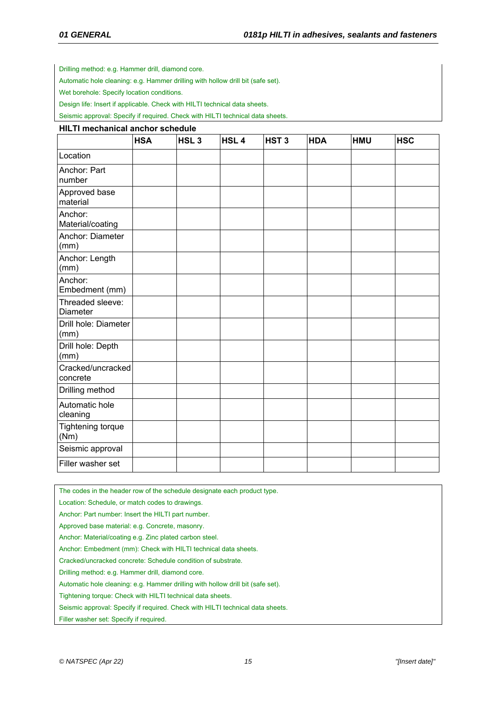Drilling method: e.g. Hammer drill, diamond core.

Automatic hole cleaning: e.g. Hammer drilling with hollow drill bit (safe set).

Wet borehole: Specify location conditions.

Design life: Insert if applicable. Check with HILTI technical data sheets.

Seismic approval: Specify if required. Check with HILTI technical data sheets.

#### **HILTI mechanical anchor schedule**

|                                     | <b>HSA</b> | HSL <sub>3</sub> | HSL <sub>4</sub> | HST <sub>3</sub> | <b>HDA</b> | <b>HMU</b> | <b>HSC</b> |
|-------------------------------------|------------|------------------|------------------|------------------|------------|------------|------------|
| Location                            |            |                  |                  |                  |            |            |            |
| Anchor: Part<br>number              |            |                  |                  |                  |            |            |            |
| Approved base<br>material           |            |                  |                  |                  |            |            |            |
| Anchor:<br>Material/coating         |            |                  |                  |                  |            |            |            |
| Anchor: Diameter<br>(mm)            |            |                  |                  |                  |            |            |            |
| Anchor: Length<br>(mm)              |            |                  |                  |                  |            |            |            |
| Anchor:<br>Embedment (mm)           |            |                  |                  |                  |            |            |            |
| Threaded sleeve:<br><b>Diameter</b> |            |                  |                  |                  |            |            |            |
| Drill hole: Diameter<br>(mm)        |            |                  |                  |                  |            |            |            |
| Drill hole: Depth<br>(mm)           |            |                  |                  |                  |            |            |            |
| Cracked/uncracked<br>concrete       |            |                  |                  |                  |            |            |            |
| Drilling method                     |            |                  |                  |                  |            |            |            |
| Automatic hole<br>cleaning          |            |                  |                  |                  |            |            |            |
| Tightening torque<br>(Nm)           |            |                  |                  |                  |            |            |            |
| Seismic approval                    |            |                  |                  |                  |            |            |            |
| Filler washer set                   |            |                  |                  |                  |            |            |            |

The codes in the header row of the schedule designate each product type.

Location: Schedule, or match codes to drawings.

Anchor: Part number: Insert the HILTI part number.

Approved base material: e.g. Concrete, masonry.

Anchor: Material/coating e.g. Zinc plated carbon steel.

Anchor: Embedment (mm): Check with HILTI technical data sheets.

Cracked/uncracked concrete: Schedule condition of substrate.

Drilling method: e.g. Hammer drill, diamond core.

Automatic hole cleaning: e.g. Hammer drilling with hollow drill bit (safe set).

Tightening torque: Check with HILTI technical data sheets.

Seismic approval: Specify if required. Check with HILTI technical data sheets.

Filler washer set: Specify if required.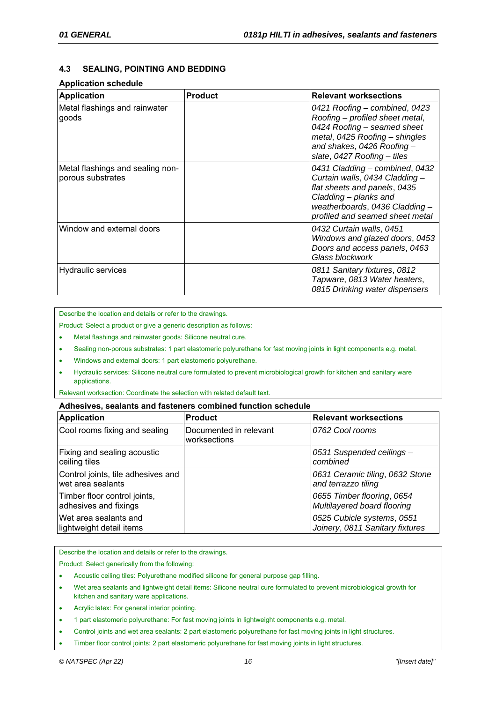# **4.3 SEALING, POINTING AND BEDDING**

# **Application schedule**

| <b>Application</b>                                    | <b>Product</b> | <b>Relevant worksections</b>                                                                                                                                                                   |
|-------------------------------------------------------|----------------|------------------------------------------------------------------------------------------------------------------------------------------------------------------------------------------------|
| Metal flashings and rainwater<br>goods                |                | 0421 Roofing - combined, 0423<br>Roofing - profiled sheet metal,<br>0424 Roofing - seamed sheet<br>metal, 0425 Roofing - shingles<br>and shakes, 0426 Roofing -<br>slate, 0427 Roofing – tiles |
| Metal flashings and sealing non-<br>porous substrates |                | 0431 Cladding - combined, 0432<br>Curtain walls, 0434 Cladding -<br>flat sheets and panels, 0435<br>Cladding – planks and<br>weatherboards, 0436 Cladding -<br>profiled and seamed sheet metal |
| Window and external doors                             |                | 0432 Curtain walls, 0451<br>Windows and glazed doors, 0453<br>Doors and access panels, 0463<br>Glass blockwork                                                                                 |
| Hydraulic services                                    |                | 0811 Sanitary fixtures, 0812<br>Tapware, 0813 Water heaters,<br>0815 Drinking water dispensers                                                                                                 |

Describe the location and details or refer to the drawings.

Product: Select a product or give a generic description as follows:

- Metal flashings and rainwater goods: Silicone neutral cure.
- Sealing non-porous substrates: 1 part elastomeric polyurethane for fast moving joints in light components e.g. metal.
- Windows and external doors: 1 part elastomeric polyurethane.
- Hydraulic services: Silicone neutral cure formulated to prevent microbiological growth for kitchen and sanitary ware applications.

Relevant worksection: Coordinate the selection with related default text.

#### **Adhesives, sealants and fasteners combined function schedule**

| <b>Application</b>                                      | <b>Product</b>                         | <b>Relevant worksections</b>                                  |
|---------------------------------------------------------|----------------------------------------|---------------------------------------------------------------|
| Cool rooms fixing and sealing                           | Documented in relevant<br>worksections | 0762 Cool rooms                                               |
| Fixing and sealing acoustic<br>ceiling tiles            |                                        | 0531 Suspended ceilings -<br>combined                         |
| Control joints, tile adhesives and<br>wet area sealants |                                        | 0631 Ceramic tiling, 0632 Stone<br>and terrazzo tiling        |
| Timber floor control joints,<br>adhesives and fixings   |                                        | 0655 Timber flooring, 0654<br>Multilayered board flooring     |
| Wet area sealants and<br>lightweight detail items       |                                        | 0525 Cubicle systems, 0551<br>Joinery, 0811 Sanitary fixtures |

Describe the location and details or refer to the drawings.

Product: Select generically from the following:

- Acoustic ceiling tiles: Polyurethane modified silicone for general purpose gap filling.
- Wet area sealants and lightweight detail items: Silicone neutral cure formulated to prevent microbiological growth for kitchen and sanitary ware applications.
- Acrylic latex: For general interior pointing.
- 1 part elastomeric polyurethane: For fast moving joints in lightweight components e.g. metal.
- Control joints and wet area sealants: 2 part elastomeric polyurethane for fast moving joints in light structures.
- Timber floor control joints: 2 part elastomeric polyurethane for fast moving joints in light structures.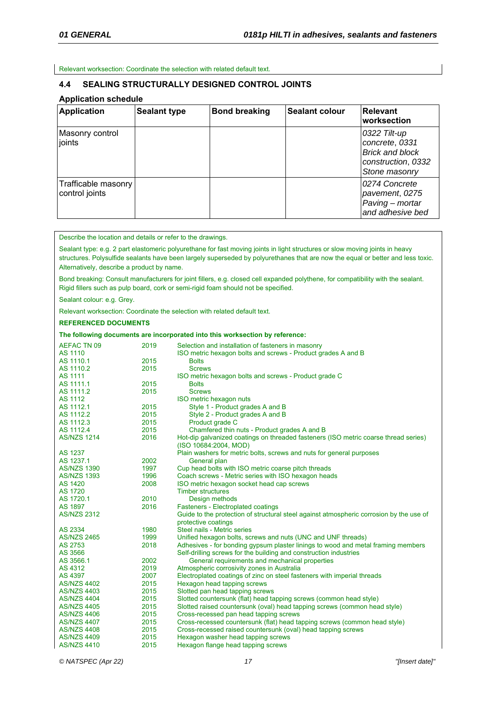Relevant worksection: Coordinate the selection with related default text.

## **4.4 SEALING STRUCTURALLY DESIGNED CONTROL JOINTS**

## **Application schedule**

| <b>Application</b>                    | <b>Sealant type</b> | <b>Bond breaking</b> | <b>Sealant colour</b> | <b>Relevant</b><br>worksection                                                                  |
|---------------------------------------|---------------------|----------------------|-----------------------|-------------------------------------------------------------------------------------------------|
| Masonry control<br>joints             |                     |                      |                       | 0322 Tilt-up<br>concrete, 0331<br><b>Brick and block</b><br>construction, 0332<br>Stone masonry |
| Trafficable masonry<br>control joints |                     |                      |                       | 0274 Concrete<br>pavement, 0275<br>Paving - mortar<br>and adhesive bed                          |

Describe the location and details or refer to the drawings.

Sealant type: e.g. 2 part elastomeric polyurethane for fast moving joints in light structures or slow moving joints in heavy structures. Polysulfide sealants have been largely superseded by polyurethanes that are now the equal or better and less toxic. Alternatively, describe a product by name.

Bond breaking: Consult manufacturers for joint fillers, e.g. closed cell expanded polythene, for compatibility with the sealant. Rigid fillers such as pulp board, cork or semi-rigid foam should not be specified.

Sealant colour: e.g. Grey.

Relevant worksection: Coordinate the selection with related default text.

#### **REFERENCED DOCUMENTS**

#### **The following documents are incorporated into this worksection by reference:**

| <b>AEFAC TN 09</b> | 2019 | Selection and installation of fasteners in masonry                                                           |
|--------------------|------|--------------------------------------------------------------------------------------------------------------|
| AS 1110            |      | ISO metric hexagon bolts and screws - Product grades A and B                                                 |
| AS 1110.1          | 2015 | <b>Bolts</b>                                                                                                 |
| AS 1110.2          | 2015 | <b>Screws</b>                                                                                                |
| <b>AS 1111</b>     |      | ISO metric hexagon bolts and screws - Product grade C                                                        |
| AS 1111.1          | 2015 | <b>Bolts</b>                                                                                                 |
| AS 1111.2          | 2015 | <b>Screws</b>                                                                                                |
| <b>AS 1112</b>     |      | ISO metric hexagon nuts                                                                                      |
| AS 1112.1          | 2015 | Style 1 - Product grades A and B                                                                             |
| AS 1112.2          | 2015 | Style 2 - Product grades A and B                                                                             |
| AS 1112.3          | 2015 | Product grade C                                                                                              |
| AS 1112.4          | 2015 | Chamfered thin nuts - Product grades A and B                                                                 |
| <b>AS/NZS 1214</b> | 2016 | Hot-dip galvanized coatings on threaded fasteners (ISO metric coarse thread series)<br>(ISO 10684:2004, MOD) |
| <b>AS 1237</b>     |      | Plain washers for metric bolts, screws and nuts for general purposes                                         |
| AS 1237.1          | 2002 | General plan                                                                                                 |
| <b>AS/NZS 1390</b> | 1997 | Cup head bolts with ISO metric coarse pitch threads                                                          |
| <b>AS/NZS 1393</b> | 1996 | Coach screws - Metric series with ISO hexagon heads                                                          |
| <b>AS 1420</b>     | 2008 | ISO metric hexagon socket head cap screws                                                                    |
| AS 1720            |      | <b>Timber structures</b>                                                                                     |
| AS 1720.1          | 2010 | Design methods                                                                                               |
| AS 1897            | 2016 | <b>Fasteners - Electroplated coatings</b>                                                                    |
| <b>AS/NZS 2312</b> |      | Guide to the protection of structural steel against atmospheric corrosion by the use of                      |
|                    |      | protective coatings                                                                                          |
| AS 2334            | 1980 | Steel nails - Metric series                                                                                  |
| <b>AS/NZS 2465</b> | 1999 | Unified hexagon bolts, screws and nuts (UNC and UNF threads)                                                 |
| AS 2753            | 2018 | Adhesives - for bonding gypsum plaster linings to wood and metal framing members                             |
| AS 3566            |      | Self-drilling screws for the building and construction industries                                            |
| AS 3566.1          | 2002 | General requirements and mechanical properties                                                               |
| AS 4312            | 2019 | Atmospheric corrosivity zones in Australia                                                                   |
| AS 4397            | 2007 | Electroplated coatings of zinc on steel fasteners with imperial threads                                      |
| <b>AS/NZS 4402</b> | 2015 | Hexagon head tapping screws                                                                                  |
| <b>AS/NZS 4403</b> | 2015 | Slotted pan head tapping screws                                                                              |
| <b>AS/NZS 4404</b> | 2015 | Slotted countersunk (flat) head tapping screws (common head style)                                           |
| <b>AS/NZS 4405</b> | 2015 | Slotted raised countersunk (oval) head tapping screws (common head style)                                    |
| <b>AS/NZS 4406</b> | 2015 | Cross-recessed pan head tapping screws                                                                       |
| <b>AS/NZS 4407</b> | 2015 | Cross-recessed countersunk (flat) head tapping screws (common head style)                                    |
| <b>AS/NZS 4408</b> | 2015 | Cross-recessed raised countersunk (oval) head tapping screws                                                 |
| <b>AS/NZS 4409</b> | 2015 | Hexagon washer head tapping screws                                                                           |
| <b>AS/NZS 4410</b> | 2015 | Hexagon flange head tapping screws                                                                           |